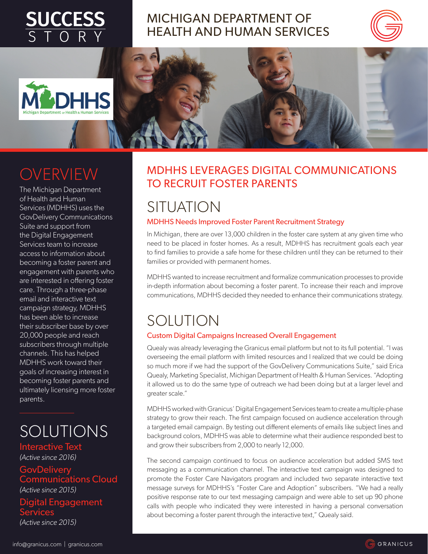# **SUCCESS**



#### MICHIGAN DEPARTMENT OF HEALTH AND HUMAN SERVICES





## OVERVIEW

The Michigan Department of Health and Human Services (MDHHS) uses the GovDelivery Communications Suite and support from the Digital Engagement Services team to increase access to information about becoming a foster parent and engagement with parents who are interested in offering foster care. Through a three-phase email and interactive text campaign strategy, MDHHS has been able to increase their subscriber base by over 20,000 people and reach subscribers through multiple channels. This has helped MDHHS work toward their goals of increasing interest in becoming foster parents and ultimately licensing more foster parents.

## SOLUTIONS

Interactive Text *(Active since 2016)* **GovDelivery** Communications Cloud *(Active since 2015)* Digital Engagement **Services** *(Active since 2015)*

#### MDHHS LEVERAGES DIGITAL COMMUNICATIONS TO RECRUIT FOSTER PARENTS

## **SITUATION**

#### MDHHS Needs Improved Foster Parent Recruitment Strategy

In Michigan, there are over 13,000 children in the foster care system at any given time who need to be placed in foster homes. As a result, MDHHS has recruitment goals each year to find families to provide a safe home for these children until they can be returned to their families or provided with permanent homes.

MDHHS wanted to increase recruitment and formalize communication processes to provide in-depth information about becoming a foster parent. To increase their reach and improve communications, MDHHS decided they needed to enhance their communications strategy.

## SOLUTION

#### Custom Digital Campaigns Increased Overall Engagement

Quealy was already leveraging the Granicus email platform but not to its full potential. "I was overseeing the email platform with limited resources and I realized that we could be doing so much more if we had the support of the GovDelivery Communications Suite," said Erica Quealy, Marketing Specialist, Michigan Department of Health & Human Services. "Adopting it allowed us to do the same type of outreach we had been doing but at a larger level and greater scale."

MDHHS worked with Granicus' Digital Engagement Services team to create a multiple-phase strategy to grow their reach. The first campaign focused on audience acceleration through a targeted email campaign. By testing out different elements of emails like subject lines and background colors, MDHHS was able to determine what their audience responded best to and grow their subscribers from 2,000 to nearly 12,000.

The second campaign continued to focus on audience acceleration but added SMS text messaging as a communication channel. The interactive text campaign was designed to promote the Foster Care Navigators program and included two separate interactive text message surveys for MDHHS's "Foster Care and Adoption" subscribers. "We had a really positive response rate to our text messaging campaign and were able to set up 90 phone calls with people who indicated they were interested in having a personal conversation about becoming a foster parent through the interactive text," Quealy said.